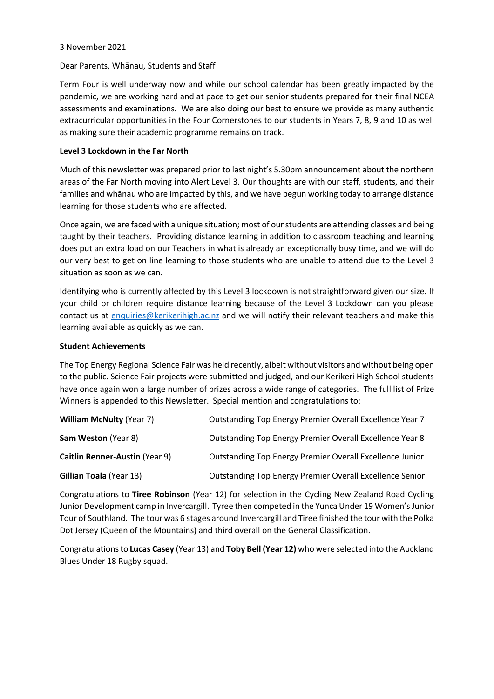### 3 November 2021

#### Dear Parents, Whānau, Students and Staff

Term Four is well underway now and while our school calendar has been greatly impacted by the pandemic, we are working hard and at pace to get our senior students prepared for their final NCEA assessments and examinations. We are also doing our best to ensure we provide as many authentic extracurricular opportunities in the Four Cornerstones to our students in Years 7, 8, 9 and 10 as well as making sure their academic programme remains on track.

### **Level 3 Lockdown in the Far North**

Much of this newsletter was prepared prior to last night's 5.30pm announcement about the northern areas of the Far North moving into Alert Level 3. Our thoughts are with our staff, students, and their families and whānau who are impacted by this, and we have begun working today to arrange distance learning for those students who are affected.

Once again, we are faced with a unique situation; most of our students are attending classes and being taught by their teachers. Providing distance learning in addition to classroom teaching and learning does put an extra load on our Teachers in what is already an exceptionally busy time, and we will do our very best to get on line learning to those students who are unable to attend due to the Level 3 situation as soon as we can.

Identifying who is currently affected by this Level 3 lockdown is not straightforward given our size. If your child or children require distance learning because of the Level 3 Lockdown can you please contact us at [enquiries@kerikerihigh.ac.nz](mailto:enquiries@kerikerihigh.ac.nz) and we will notify their relevant teachers and make this learning available as quickly as we can.

#### **Student Achievements**

The Top Energy Regional Science Fair was held recently, albeit without visitors and without being open to the public. Science Fair projects were submitted and judged, and our Kerikeri High School students have once again won a large number of prizes across a wide range of categories. The full list of Prize Winners is appended to this Newsletter. Special mention and congratulations to:

| <b>William McNulty (Year 7)</b>       | Outstanding Top Energy Premier Overall Excellence Year 7        |
|---------------------------------------|-----------------------------------------------------------------|
| Sam Weston (Year 8)                   | Outstanding Top Energy Premier Overall Excellence Year 8        |
| <b>Caitlin Renner-Austin (Year 9)</b> | <b>Outstanding Top Energy Premier Overall Excellence Junior</b> |
| <b>Gillian Toala (Year 13)</b>        | Outstanding Top Energy Premier Overall Excellence Senior        |

Congratulations to **Tiree Robinson** (Year 12) for selection in the Cycling New Zealand Road Cycling Junior Development camp in Invercargill. Tyree then competed in the Yunca Under 19 Women's Junior Tour of Southland. The tour was 6 stages around Invercargill and Tiree finished the tour with the Polka Dot Jersey (Queen of the Mountains) and third overall on the General Classification.

Congratulations to **Lucas Casey** (Year 13) and **Toby Bell (Year 12)** who were selected into the Auckland Blues Under 18 Rugby squad.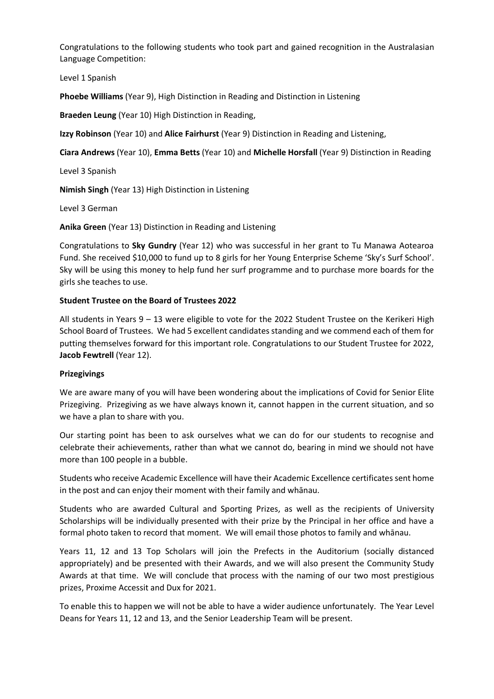Congratulations to the following students who took part and gained recognition in the Australasian Language Competition:

Level 1 Spanish

**Phoebe Williams** (Year 9), High Distinction in Reading and Distinction in Listening

**Braeden Leung** (Year 10) High Distinction in Reading,

**Izzy Robinson** (Year 10) and **Alice Fairhurst** (Year 9) Distinction in Reading and Listening,

**Ciara Andrews** (Year 10), **Emma Betts** (Year 10) and **Michelle Horsfall** (Year 9) Distinction in Reading

Level 3 Spanish

**Nimish Singh** (Year 13) High Distinction in Listening

Level 3 German

**Anika Green** (Year 13) Distinction in Reading and Listening

Congratulations to **Sky Gundry** (Year 12) who was successful in her grant to Tu Manawa Aotearoa Fund. She received \$10,000 to fund up to 8 girls for her Young Enterprise Scheme 'Sky's Surf School'. Sky will be using this money to help fund her surf programme and to purchase more boards for the girls she teaches to use.

# **Student Trustee on the Board of Trustees 2022**

All students in Years 9 – 13 were eligible to vote for the 2022 Student Trustee on the Kerikeri High School Board of Trustees. We had 5 excellent candidates standing and we commend each of them for putting themselves forward for this important role. Congratulations to our Student Trustee for 2022, **Jacob Fewtrell** (Year 12).

### **Prizegivings**

We are aware many of you will have been wondering about the implications of Covid for Senior Elite Prizegiving. Prizegiving as we have always known it, cannot happen in the current situation, and so we have a plan to share with you.

Our starting point has been to ask ourselves what we can do for our students to recognise and celebrate their achievements, rather than what we cannot do, bearing in mind we should not have more than 100 people in a bubble.

Students who receive Academic Excellence will have their Academic Excellence certificates sent home in the post and can enjoy their moment with their family and whānau.

Students who are awarded Cultural and Sporting Prizes, as well as the recipients of University Scholarships will be individually presented with their prize by the Principal in her office and have a formal photo taken to record that moment. We will email those photos to family and whānau.

Years 11, 12 and 13 Top Scholars will join the Prefects in the Auditorium (socially distanced appropriately) and be presented with their Awards, and we will also present the Community Study Awards at that time. We will conclude that process with the naming of our two most prestigious prizes, Proxime Accessit and Dux for 2021.

To enable this to happen we will not be able to have a wider audience unfortunately. The Year Level Deans for Years 11, 12 and 13, and the Senior Leadership Team will be present.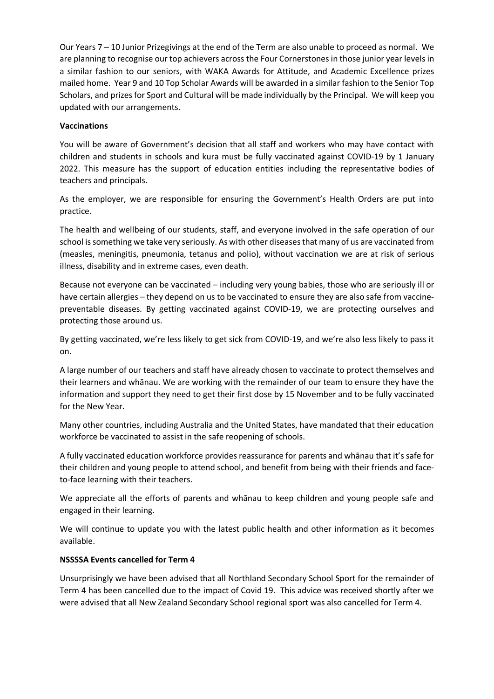Our Years 7 – 10 Junior Prizegivings at the end of the Term are also unable to proceed as normal. We are planning to recognise our top achievers across the Four Cornerstones in those junior year levels in a similar fashion to our seniors, with WAKA Awards for Attitude, and Academic Excellence prizes mailed home. Year 9 and 10 Top Scholar Awards will be awarded in a similar fashion to the Senior Top Scholars, and prizes for Sport and Cultural will be made individually by the Principal. We will keep you updated with our arrangements.

# **Vaccinations**

You will be aware of Government's decision that all staff and workers who may have contact with children and students in schools and kura must be fully vaccinated against COVID-19 by 1 January 2022. This measure has the support of education entities including the representative bodies of teachers and principals.

As the employer, we are responsible for ensuring the Government's Health Orders are put into practice.

The health and wellbeing of our students, staff, and everyone involved in the safe operation of our school is something we take very seriously. As with other diseases that many of us are vaccinated from (measles, meningitis, pneumonia, tetanus and polio), without vaccination we are at risk of serious illness, disability and in extreme cases, even death.

Because not everyone can be vaccinated – including very young babies, those who are seriously ill or have certain allergies – they depend on us to be vaccinated to ensure they are also safe from vaccinepreventable diseases. By getting vaccinated against COVID-19, we are protecting ourselves and protecting those around us.

By getting vaccinated, we're less likely to get sick from COVID-19, and we're also less likely to pass it on.

A large number of our teachers and staff have already chosen to vaccinate to protect themselves and their learners and whānau. We are working with the remainder of our team to ensure they have the information and support they need to get their first dose by 15 November and to be fully vaccinated for the New Year.

Many other countries, including Australia and the United States, have mandated that their education workforce be vaccinated to assist in the safe reopening of schools.

A fully vaccinated education workforce provides reassurance for parents and whānau that it's safe for their children and young people to attend school, and benefit from being with their friends and faceto-face learning with their teachers.

We appreciate all the efforts of parents and whānau to keep children and young people safe and engaged in their learning.

We will continue to update you with the latest public health and other information as it becomes available.

### **NSSSSA Events cancelled for Term 4**

Unsurprisingly we have been advised that all Northland Secondary School Sport for the remainder of Term 4 has been cancelled due to the impact of Covid 19. This advice was received shortly after we were advised that all New Zealand Secondary School regional sport was also cancelled for Term 4.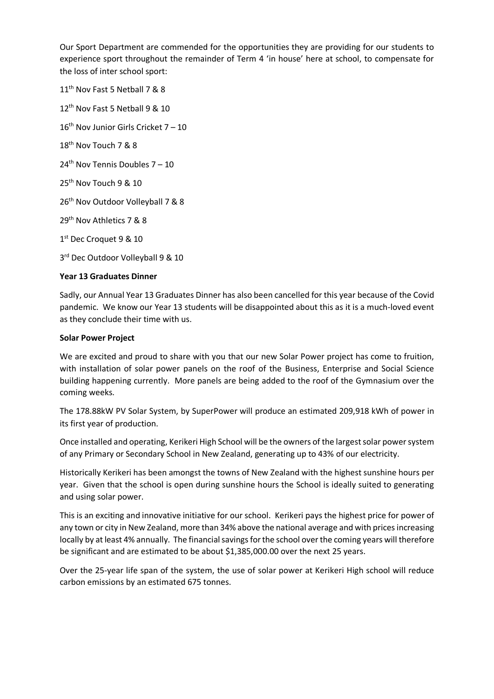Our Sport Department are commended for the opportunities they are providing for our students to experience sport throughout the remainder of Term 4 'in house' here at school, to compensate for the loss of inter school sport:

11<sup>th</sup> Nov Fast 5 Netball 7 & 8

12<sup>th</sup> Nov Fast 5 Netball 9 & 10

 $16<sup>th</sup>$  Nov Junior Girls Cricket 7 – 10

18<sup>th</sup> Nov Touch 7 & 8

 $24<sup>th</sup>$  Nov Tennis Doubles 7 – 10

25<sup>th</sup> Nov Touch 9 & 10

26<sup>th</sup> Nov Outdoor Volleyball 7 & 8

29<sup>th</sup> Nov Athletics 7 & 8

1st Dec Croquet 9 & 10

3rd Dec Outdoor Volleyball 9 & 10

### **Year 13 Graduates Dinner**

Sadly, our Annual Year 13 Graduates Dinner has also been cancelled for this year because of the Covid pandemic. We know our Year 13 students will be disappointed about this as it is a much-loved event as they conclude their time with us.

#### **Solar Power Project**

We are excited and proud to share with you that our new Solar Power project has come to fruition, with installation of solar power panels on the roof of the Business, Enterprise and Social Science building happening currently. More panels are being added to the roof of the Gymnasium over the coming weeks.

The 178.88kW PV Solar System, by SuperPower will produce an estimated 209,918 kWh of power in its first year of production.

Once installed and operating, Kerikeri High School will be the owners of the largest solar power system of any Primary or Secondary School in New Zealand, generating up to 43% of our electricity.

Historically Kerikeri has been amongst the towns of New Zealand with the highest sunshine hours per year. Given that the school is open during sunshine hours the School is ideally suited to generating and using solar power.

This is an exciting and innovative initiative for our school. Kerikeri pays the highest price for power of any town or city in New Zealand, more than 34% above the national average and with prices increasing locally by at least 4% annually. The financial savings for the school over the coming years will therefore be significant and are estimated to be about \$1,385,000.00 over the next 25 years.

Over the 25-year life span of the system, the use of solar power at Kerikeri High school will reduce carbon emissions by an estimated 675 tonnes.